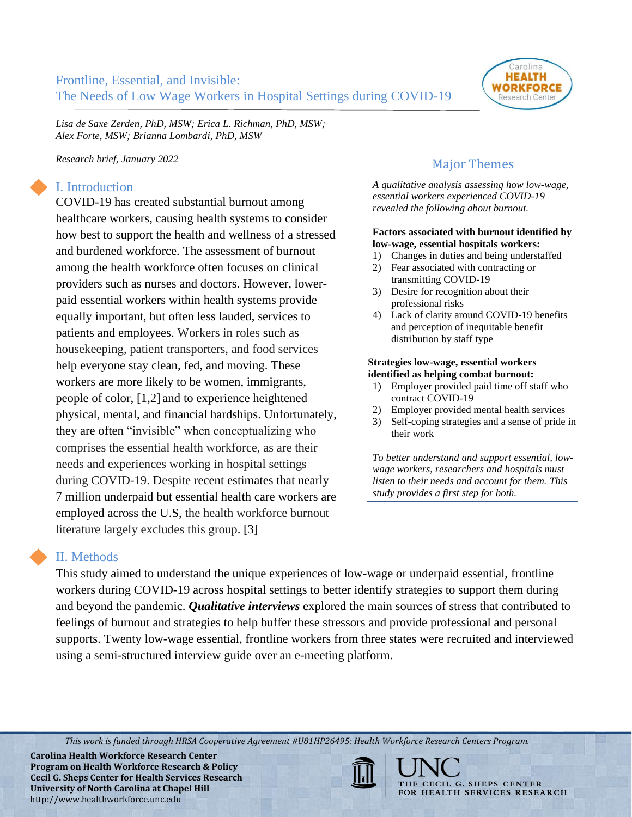

*Lisa de Saxe Zerden, PhD, MSW; Erica L. Richman, PhD, MSW; Alex Forte, MSW; Brianna Lombardi, PhD, MSW* 

*Research brief, January 2022*

## I. Introduction

COVID-19 has created substantial burnout among healthcare workers, causing health systems to consider how best to support the health and wellness of a stressed and burdened workforce. The assessment of burnout among the health workforce often focuses on clinical providers such as nurses and doctors. However, lowerpaid essential workers within health systems provide equally important, but often less lauded, services to patients and employees. Workers in roles such as housekeeping, patient transporters, and food services help everyone stay clean, fed, and moving. These workers are more likely to be women, immigrants, people of color, [1,2] and to experience heightened physical, mental, and financial hardships. Unfortunately, they are often "invisible" when conceptualizing who comprises the essential health workforce, as are their needs and experiences working in hospital settings during COVID-19. Despite recent estimates that nearly 7 million underpaid but essential health care workers are employed across the U.S, the health workforce burnout literature largely excludes this group. [3]

## Major Themes

*A qualitative analysis assessing how low-wage, essential workers experienced COVID-19 revealed the following about burnout.* 

#### **Factors associated with burnout identified by low-wage, essential hospitals workers:**

- 1) Changes in duties and being understaffed
- 2) Fear associated with contracting or transmitting COVID-19
- 3) Desire for recognition about their professional risks
- 4) Lack of clarity around COVID-19 benefits and perception of inequitable benefit distribution by staff type

#### **Strategies low-wage, essential workers identified as helping combat burnout:**

- 1) Employer provided paid time off staff who contract COVID-19
- 2) Employer provided mental health services
- 3) Self-coping strategies and a sense of pride in their work

*To better understand and support essential, lowwage workers, researchers and hospitals must listen to their needs and account for them. This study provides a first step for both.* 

### II. Methods

This study aimed to understand the unique experiences of low-wage or underpaid essential, frontline workers during COVID-19 across hospital settings to better identify strategies to support them during and beyond the pandemic. *Qualitative interviews* explored the main sources of stress that contributed to feelings of burnout and strategies to help buffer these stressors and provide professional and personal supports. Twenty low-wage essential, frontline workers from three states were recruited and interviewed using a semi-structured interview guide over an e-meeting platform.

*This work is funded through HRSA Cooperative Agreement #U81HP26495: Health Workforce Research Centers Program.*

**Carolina Health Workforce Research Center Program on Health Workforce Research & Policy Cecil G. Sheps Center for Health Services Research University of North Carolina at Chapel Hill** http://www.healthworkforce.unc.edu



THE CECIL G. SHEPS CENTER FOR HEALTH SERVICES RESEARCH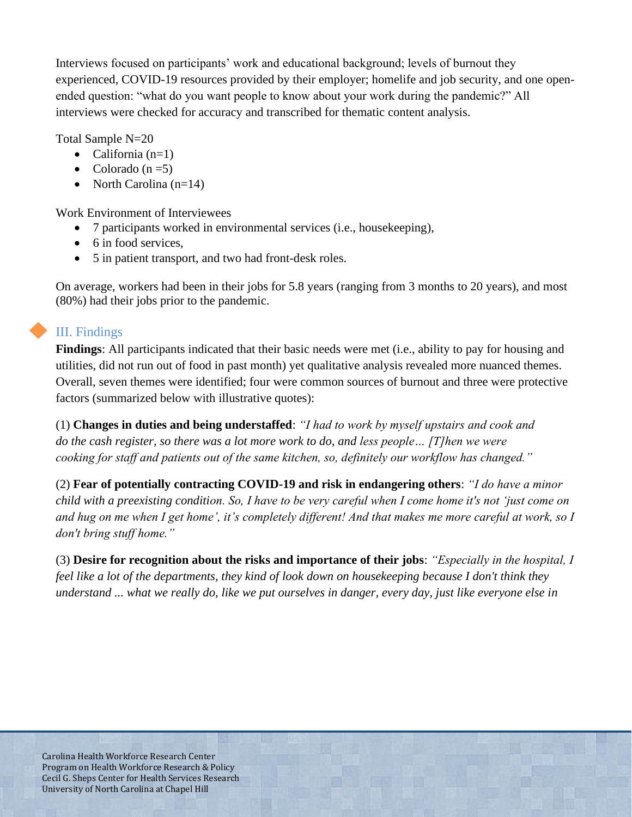Interviews focused on participants' work and educational background; levels of burnout they experienced, COVID-19 resources provided by their employer; homelife and job security, and one openended question: "what do you want people to know about your work during the pandemic?" All interviews were checked for accuracy and transcribed for thematic content analysis.

Total Sample N=20

- California  $(n=1)$
- Colorado  $(n=5)$
- North Carolina (n=14)

Work Environment of Interviewees

- 7 participants worked in environmental services (i.e., housekeeping),
- 6 in food services,
- 5 in patient transport, and two had front-desk roles.

On average, workers had been in their jobs for 5.8 years (ranging from 3 months to 20 years), and most (80%) had their jobs prior to the pandemic.

## III. Findings

**Findings**: All participants indicated that their basic needs were met (i.e., ability to pay for housing and utilities, did not run out of food in past month) yet qualitative analysis revealed more nuanced themes. Overall, seven themes were identified; four were common sources of burnout and three were protective factors (summarized below with illustrative quotes):

(1) **Changes in duties and being understaffed**: *"I had to work by myself upstairs and cook and do the cash register, so there was a lot more work to do, and less people… [T]hen we were cooking for staff and patients out of the same kitchen, so, definitely our workflow has changed."*

(2) **Fear of potentially contracting COVID-19 and risk in endangering others**: *"I do have a minor child with a preexisting condition. So, I have to be very careful when I come home it's not 'just come on and hug on me when I get home', it's completely different! And that makes me more careful at work, so I don't bring stuff home."*

(3) **Desire for recognition about the risks and importance of their jobs**: *"Especially in the hospital, I feel like a lot of the departments, they kind of look down on housekeeping because I don't think they understand ... what we really do, like we put ourselves in danger, every day, just like everyone else in*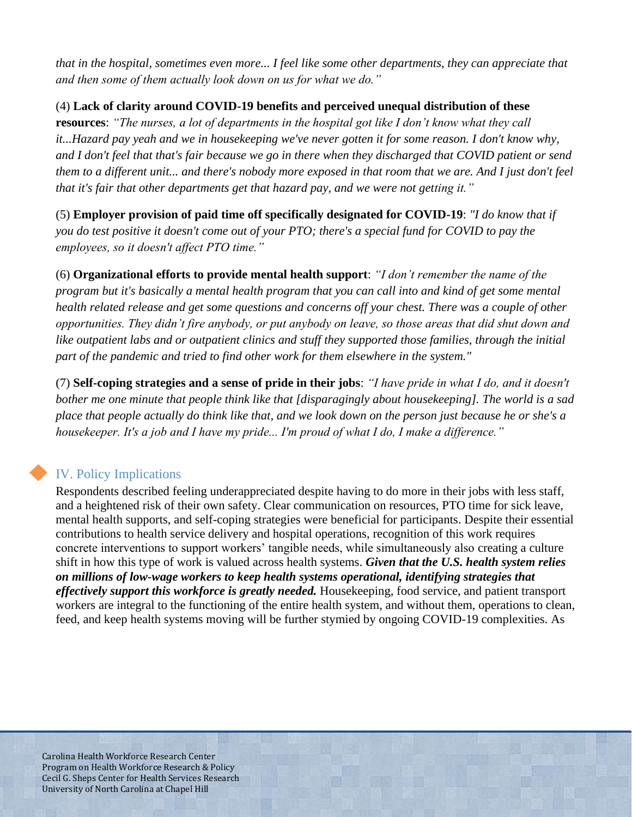*that in the hospital, sometimes even more... I feel like some other departments, they can appreciate that and then some of them actually look down on us for what we do."*

(4) **Lack of clarity around COVID-19 benefits and perceived unequal distribution of these resources**: *"The nurses, a lot of departments in the hospital got like I don't know what they call it...Hazard pay yeah and we in housekeeping we've never gotten it for some reason. I don't know why, and I don't feel that that's fair because we go in there when they discharged that COVID patient or send them to a different unit... and there's nobody more exposed in that room that we are. And I just don't feel that it's fair that other departments get that hazard pay, and we were not getting it."*

(5) **Employer provision of paid time off specifically designated for COVID-19**: *"I do know that if you do test positive it doesn't come out of your PTO; there's a special fund for COVID to pay the employees, so it doesn't affect PTO time."*

(6) **Organizational efforts to provide mental health support**: *"I don't remember the name of the program but it's basically a mental health program that you can call into and kind of get some mental health related release and get some questions and concerns off your chest. There was a couple of other opportunities. They didn't fire anybody, or put anybody on leave, so those areas that did shut down and like outpatient labs and or outpatient clinics and stuff they supported those families, through the initial part of the pandemic and tried to find other work for them elsewhere in the system."*

(7) **Self-coping strategies and a sense of pride in their jobs**: *"I have pride in what I do, and it doesn't bother me one minute that people think like that [disparagingly about housekeeping]. The world is a sad place that people actually do think like that, and we look down on the person just because he or she's a housekeeper. It's a job and I have my pride... I'm proud of what I do, I make a difference."*

# IV. Policy Implications

Respondents described feeling underappreciated despite having to do more in their jobs with less staff, and a heightened risk of their own safety. Clear communication on resources, PTO time for sick leave, mental health supports, and self-coping strategies were beneficial for participants. Despite their essential contributions to health service delivery and hospital operations, recognition of this work requires concrete interventions to support workers' tangible needs, while simultaneously also creating a culture shift in how this type of work is valued across health systems. *Given that the U.S. health system relies on millions of low-wage workers to keep health systems operational, identifying strategies that effectively support this workforce is greatly needed.* Housekeeping, food service, and patient transport workers are integral to the functioning of the entire health system, and without them, operations to clean, feed, and keep health systems moving will be further stymied by ongoing COVID-19 complexities. As

Carolina Health Workforce Research Center Program on Health Workforce Research & Policy Cecil G. Sheps Center for Health Services Research University of North Carolina at Chapel Hill